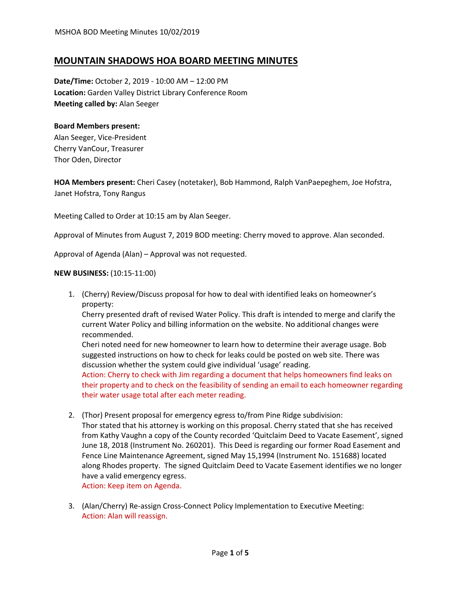# **MOUNTAIN SHADOWS HOA BOARD MEETING MINUTES**

**Date/Time:** October 2, 2019 - 10:00 AM – 12:00 PM **Location:** Garden Valley District Library Conference Room **Meeting called by:** Alan Seeger

### **Board Members present:**

Alan Seeger, Vice-President Cherry VanCour, Treasurer Thor Oden, Director

**HOA Members present:** Cheri Casey (notetaker), Bob Hammond, Ralph VanPaepeghem, Joe Hofstra, Janet Hofstra, Tony Rangus

Meeting Called to Order at 10:15 am by Alan Seeger.

Approval of Minutes from August 7, 2019 BOD meeting: Cherry moved to approve. Alan seconded.

Approval of Agenda (Alan) – Approval was not requested.

### **NEW BUSINESS:** (10:15-11:00)

1. (Cherry) Review/Discuss proposal for how to deal with identified leaks on homeowner's property:

Cherry presented draft of revised Water Policy. This draft is intended to merge and clarify the current Water Policy and billing information on the website. No additional changes were recommended.

Cheri noted need for new homeowner to learn how to determine their average usage. Bob suggested instructions on how to check for leaks could be posted on web site. There was discussion whether the system could give individual 'usage' reading.

Action: Cherry to check with Jim regarding a document that helps homeowners find leaks on their property and to check on the feasibility of sending an email to each homeowner regarding their water usage total after each meter reading.

2. (Thor) Present proposal for emergency egress to/from Pine Ridge subdivision: Thor stated that his attorney is working on this proposal. Cherry stated that she has received from Kathy Vaughn a copy of the County recorded 'Quitclaim Deed to Vacate Easement', signed June 18, 2018 (Instrument No. 260201). This Deed is regarding our former Road Easement and Fence Line Maintenance Agreement, signed May 15,1994 (Instrument No. 151688) located along Rhodes property. The signed Quitclaim Deed to Vacate Easement identifies we no longer have a valid emergency egress. Action: Keep item on Agenda.

3. (Alan/Cherry) Re-assign Cross-Connect Policy Implementation to Executive Meeting: Action: Alan will reassign.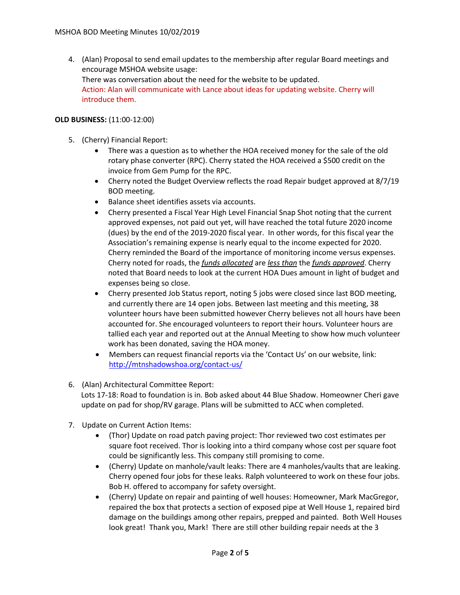4. (Alan) Proposal to send email updates to the membership after regular Board meetings and encourage MSHOA website usage: There was conversation about the need for the website to be updated. Action: Alan will communicate with Lance about ideas for updating website. Cherry will introduce them.

## **OLD BUSINESS:** (11:00-12:00)

- 5. (Cherry) Financial Report:
	- There was a question as to whether the HOA received money for the sale of the old rotary phase converter (RPC). Cherry stated the HOA received a \$500 credit on the invoice from Gem Pump for the RPC.
	- Cherry noted the Budget Overview reflects the road Repair budget approved at 8/7/19 BOD meeting.
	- Balance sheet identifies assets via accounts.
	- Cherry presented a Fiscal Year High Level Financial Snap Shot noting that the current approved expenses, not paid out yet, will have reached the total future 2020 income (dues) by the end of the 2019-2020 fiscal year. In other words, for this fiscal year the Association's remaining expense is nearly equal to the income expected for 2020. Cherry reminded the Board of the importance of monitoring income versus expenses. Cherry noted for roads, the *funds allocated* are *less than* the *funds approved*. Cherry noted that Board needs to look at the current HOA Dues amount in light of budget and expenses being so close.
	- Cherry presented Job Status report, noting 5 jobs were closed since last BOD meeting, and currently there are 14 open jobs. Between last meeting and this meeting, 38 volunteer hours have been submitted however Cherry believes not all hours have been accounted for. She encouraged volunteers to report their hours. Volunteer hours are tallied each year and reported out at the Annual Meeting to show how much volunteer work has been donated, saving the HOA money.
	- Members can request financial reports via the 'Contact Us' on our website, link: <http://mtnshadowshoa.org/contact-us/>
- 6. (Alan) Architectural Committee Report: Lots 17-18: Road to foundation is in. Bob asked about 44 Blue Shadow. Homeowner Cheri gave update on pad for shop/RV garage. Plans will be submitted to ACC when completed.
- 7. Update on Current Action Items:
	- (Thor) Update on road patch paving project: Thor reviewed two cost estimates per square foot received. Thor is looking into a third company whose cost per square foot could be significantly less. This company still promising to come.
	- (Cherry) Update on manhole/vault leaks: There are 4 manholes/vaults that are leaking. Cherry opened four jobs for these leaks. Ralph volunteered to work on these four jobs. Bob H. offered to accompany for safety oversight.
	- (Cherry) Update on repair and painting of well houses: Homeowner, Mark MacGregor, repaired the box that protects a section of exposed pipe at Well House 1, repaired bird damage on the buildings among other repairs, prepped and painted. Both Well Houses look great! Thank you, Mark! There are still other building repair needs at the 3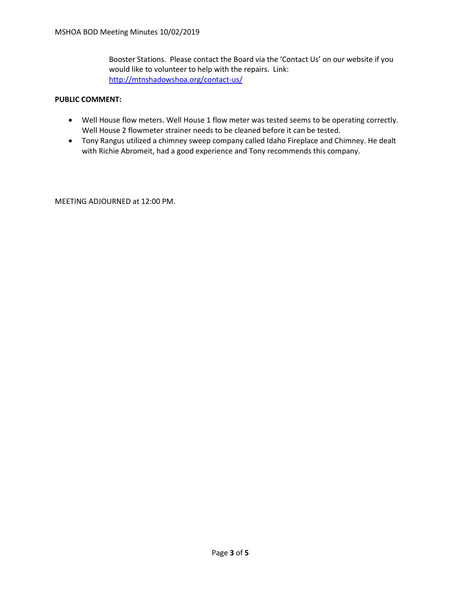Booster Stations. Please contact the Board via the 'Contact Us' on our website if you would like to volunteer to help with the repairs. Link: <http://mtnshadowshoa.org/contact-us/>

## **PUBLIC COMMENT:**

- Well House flow meters. Well House 1 flow meter was tested seems to be operating correctly. Well House 2 flowmeter strainer needs to be cleaned before it can be tested.
- Tony Rangus utilized a chimney sweep company called Idaho Fireplace and Chimney. He dealt with Richie Abromeit, had a good experience and Tony recommends this company.

MEETING ADJOURNED at 12:00 PM.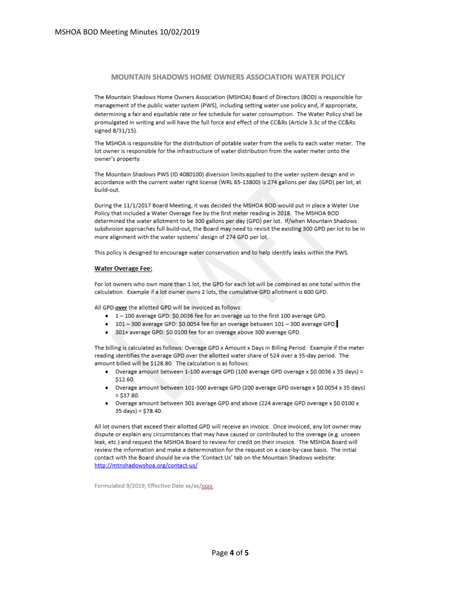#### **MOUNTAIN SHADOWS HOME OWNERS ASSOCIATION WATER POLICY**

The Mountain Shadows Home Owners Association (MSHOA) Board of Directors (BOD) is responsible for management of the public water system (PWS), including setting water use policy and, if appropriate, determining a fair and equitable rate or fee schedule for water consumption. The Water Policy shall be promulgated in writing and will have the full force and effect of the CC&Rs (Article 3.3c of the CC&Rs signed 8/31/15).

The MSHOA is responsible for the distribution of potable water from the wells to each water meter. The lot owner is responsible for the infrastructure of water distribution from the water meter onto the owner's property.

The Mountain Shadows PWS (ID 4080100) diversion limits applied to the water system design and in accordance with the current water right license (WRL 65-13800) is 274 gallons per day (GPD) per lot, at build-out.

During the 11/1/2017 Board Meeting, it was decided the MSHOA BOD would put in place a Water Use Policy that included a Water Overage Fee by the first meter reading in 2018. The MSHOA BOD determined the water allotment to be 300 gallons per day (GPD) per lot. If/when Mountain Shadows subdivision approaches full build-out, the Board may need to revisit the existing 300 GPD per lot to be in more alignment with the water systems' design of 274 GPD per lot.

This policy is designed to encourage water conservation and to help identify leaks within the PWS.

#### **Water Overage Fee:**

For lot owners who own more than 1 lot, the GPD for each lot will be combined as one total within the calculation. Example if a lot owner owns 2 lots, the cumulative GPD allotment is 600 GPD.

All GPD over the allotted GPD will be invoiced as follows:

- 1-100 average GPD: \$0.0036 fee for an overage up to the first 100 average GPD.
- 101 300 average GPD: \$0.0054 fee for an overage between 101 300 average GPD.
- 301+ average GPD: \$0.0100 fee for an overage above 300 average GPD.

The billing is calculated as follows: Overage GPD x Amount x Days in Billing Period. Example if the meter reading identifies the average GPD over the allotted water share of 524 over a 35-day period. The amount billed will be \$128.80. The calculation is as follows:

- Overage amount between 1-100 average GPD (100 average GPD overage x \$0.0036 x 35 days) = \$12.60.
- Overage amount between 101-300 average GPD (200 average GPD overage x \$0.0054 x 35 days)  $=$  \$37.80.
- Overage amount between 301 average GPD and above (224 average GPD overage x \$0.0100 x 35 days) = \$78.40.

All lot owners that exceed their allotted GPD will receive an invoice. Once invoiced, any lot owner may dispute or explain any circumstances that may have caused or contributed to the overage (e.g. unseen leak, etc.) and request the MSHOA Board to review for credit on their invoice. The MSHOA Board will review the information and make a determination for the request on a case-by-case basis. The initial contact with the Board should be via the 'Contact Us' tab on the Mountain Shadows website: http://mtnshadowshoa.org/contact-us/

Formulated 9/2019, Effective Date xx/xx/xxxx